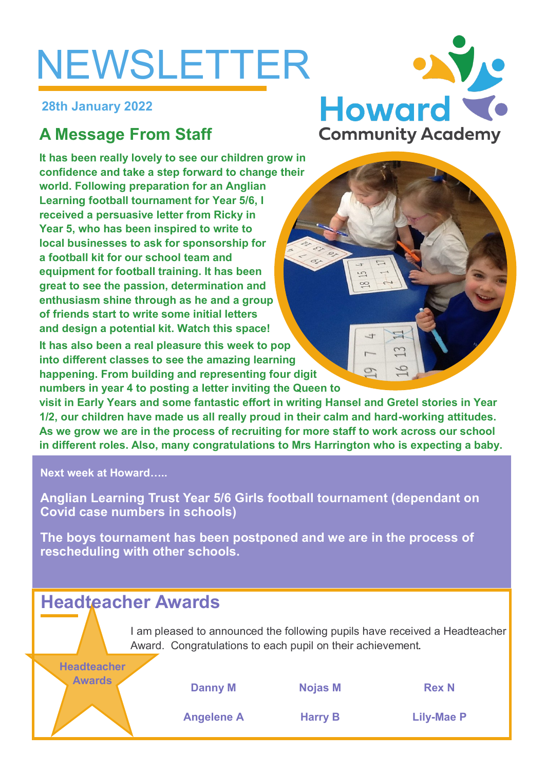# NEWSLETTER

**28th January 2022**

# **A Message From Staff**

**It has been really lovely to see our children grow in confidence and take a step forward to change their world. Following preparation for an Anglian Learning football tournament for Year 5/6, I received a persuasive letter from Ricky in Year 5, who has been inspired to write to local businesses to ask for sponsorship for a football kit for our school team and equipment for football training. It has been great to see the passion, determination and enthusiasm shine through as he and a group of friends start to write some initial letters and design a potential kit. Watch this space!**

**It has also been a real pleasure this week to pop into different classes to see the amazing learning happening. From building and representing four digit numbers in year 4 to posting a letter inviting the Queen to** 

**visit in Early Years and some fantastic effort in writing Hansel and Gretel stories in Year 1/2, our children have made us all really proud in their calm and hard-working attitudes. As we grow we are in the process of recruiting for more staff to work across our school in different roles. Also, many congratulations to Mrs Harrington who is expecting a baby.**

**Next week at Howard…..**

**Headteacher** 

**Anglian Learning Trust Year 5/6 Girls football tournament (dependant on Covid case numbers in schools)**

**The boys tournament has been postponed and we are in the process of rescheduling with other schools.**

# **Headteacher Awards**

I am pleased to announced the following pupils have received a Headteacher Award. Congratulations to each pupil on their achievement.

| <b>Awards</b> | <b>Danny M</b>    | <b>Nojas M</b> | <b>Rex N</b> |
|---------------|-------------------|----------------|--------------|
|               | <b>Angelene A</b> | <b>Harry B</b> | Lily-Mae     |

**Angelene A Harry B Lily-Mae P**



S

9